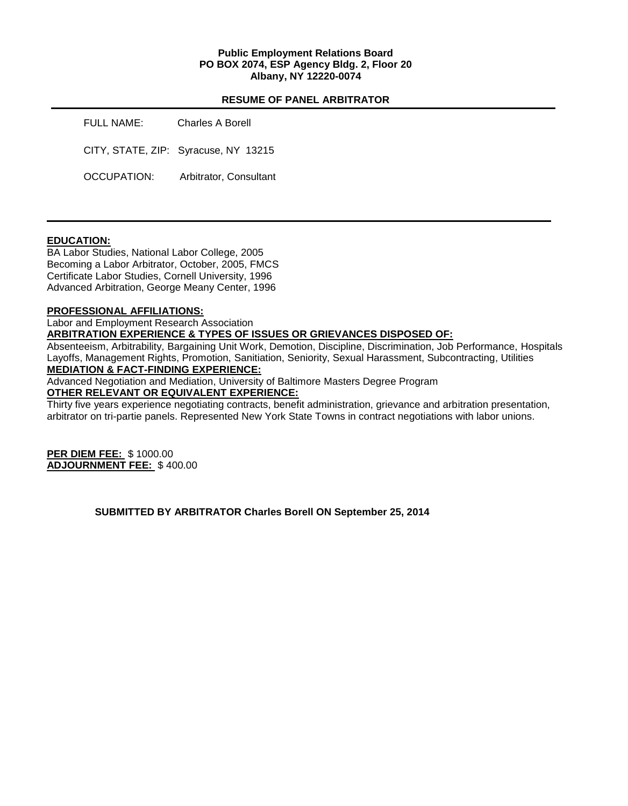### **Public Employment Relations Board PO BOX 2074, ESP Agency Bldg. 2, Floor 20 Albany, NY 12220-0074**

#### **RESUME OF PANEL ARBITRATOR**

| FULL NAME:  | Charles A Borell                     |
|-------------|--------------------------------------|
|             | CITY, STATE, ZIP: Syracuse, NY 13215 |
| OCCUPATION: | Arbitrator, Consultant               |

# **EDUCATION:**

BA Labor Studies, National Labor College, 2005 Becoming a Labor Arbitrator, October, 2005, FMCS Certificate Labor Studies, Cornell University, 1996 Advanced Arbitration, George Meany Center, 1996

#### **PROFESSIONAL AFFILIATIONS:**

Labor and Employment Research Association

**ARBITRATION EXPERIENCE & TYPES OF ISSUES OR GRIEVANCES DISPOSED OF:** 

Absenteeism, Arbitrability, Bargaining Unit Work, Demotion, Discipline, Discrimination, Job Performance, Hospitals Layoffs, Management Rights, Promotion, Sanitiation, Seniority, Sexual Harassment, Subcontracting, Utilities **MEDIATION & FACT-FINDING EXPERIENCE:** 

Advanced Negotiation and Mediation, University of Baltimore Masters Degree Program **OTHER RELEVANT OR EQUIVALENT EXPERIENCE:** 

Thirty five years experience negotiating contracts, benefit administration, grievance and arbitration presentation, arbitrator on tri-partie panels. Represented New York State Towns in contract negotiations with labor unions.

**PER DIEM FEE:** \$ 1000.00 **ADJOURNMENT FEE:** \$ 400.00

**SUBMITTED BY ARBITRATOR Charles Borell ON September 25, 2014**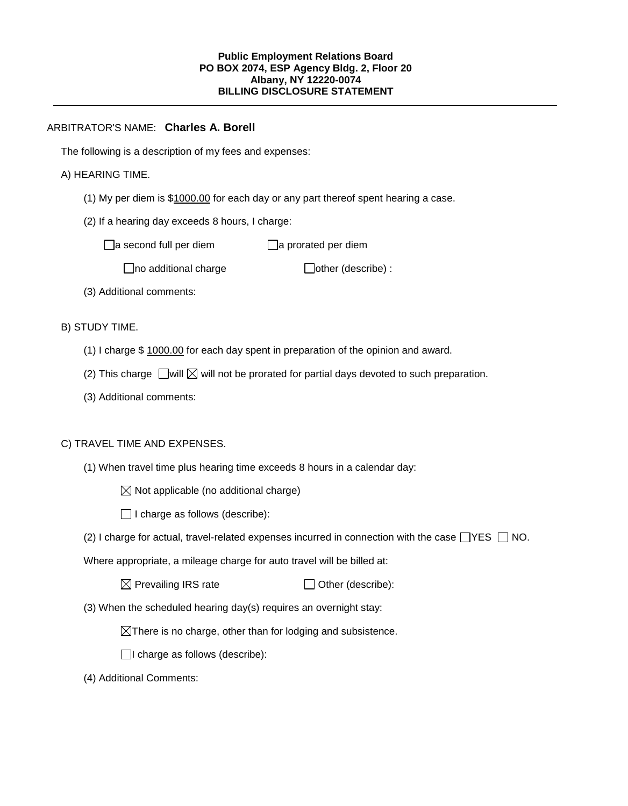## ARBITRATOR'S NAME: **Charles A. Borell**

The following is a description of my fees and expenses:

## A) HEARING TIME.

- (1) My per diem is \$1000.00 for each day or any part thereof spent hearing a case.
- (2) If a hearing day exceeds 8 hours, I charge:

 $\Box$ a second full per diem  $\Box$ a prorated per diem

 $\Box$ no additional charge  $\Box$ other (describe) :

(3) Additional comments:

B) STUDY TIME.

- (1) I charge \$ 1000.00 for each day spent in preparation of the opinion and award.
- (2) This charge  $\Box$  will  $\boxtimes$  will not be prorated for partial days devoted to such preparation.
- (3) Additional comments:

# C) TRAVEL TIME AND EXPENSES.

- (1) When travel time plus hearing time exceeds 8 hours in a calendar day:
	- $\boxtimes$  Not applicable (no additional charge)
	- $\Box$  I charge as follows (describe):
- (2) I charge for actual, travel-related expenses incurred in connection with the case  $\Box$ YES  $\Box$  NO.

Where appropriate, a mileage charge for auto travel will be billed at:

 $\boxtimes$  Prevailing IRS rate  $\Box$  Other (describe):

(3) When the scheduled hearing day(s) requires an overnight stay:

 $\boxtimes$ There is no charge, other than for lodging and subsistence.

 $\Box$ I charge as follows (describe):

(4) Additional Comments: